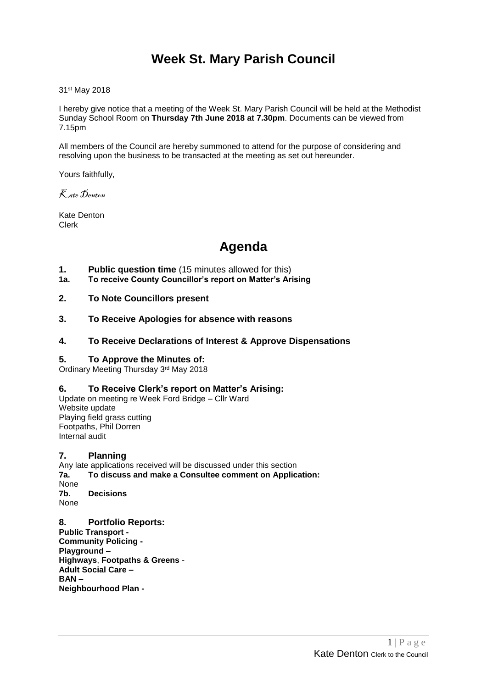# **Week St. Mary Parish Council**

31st May 2018

I hereby give notice that a meeting of the Week St. Mary Parish Council will be held at the Methodist Sunday School Room on **Thursday 7th June 2018 at 7.30pm**. Documents can be viewed from 7.15pm

All members of the Council are hereby summoned to attend for the purpose of considering and resolving upon the business to be transacted at the meeting as set out hereunder.

Yours faithfully,

Kate Denton

Kate Denton Clerk

# **Agenda**

- **1. Public question time** (15 minutes allowed for this)
- **1a. To receive County Councillor's report on Matter's Arising**
- **2. To Note Councillors present**
- **3. To Receive Apologies for absence with reasons**

#### **4. To Receive Declarations of Interest & Approve Dispensations**

#### **5. To Approve the Minutes of:**

Ordinary Meeting Thursday 3rd May 2018

#### **6. To Receive Clerk's report on Matter's Arising:**

Update on meeting re Week Ford Bridge – Cllr Ward Website update Playing field grass cutting Footpaths, Phil Dorren Internal audit

#### **7. Planning**

Any late applications received will be discussed under this section **7a. To discuss and make a Consultee comment on Application:** None **7b. Decisions** None

**8. Portfolio Reports: Public Transport - Community Policing - Playground** – **Highways**, **Footpaths & Greens** - **Adult Social Care – BAN – Neighbourhood Plan -**